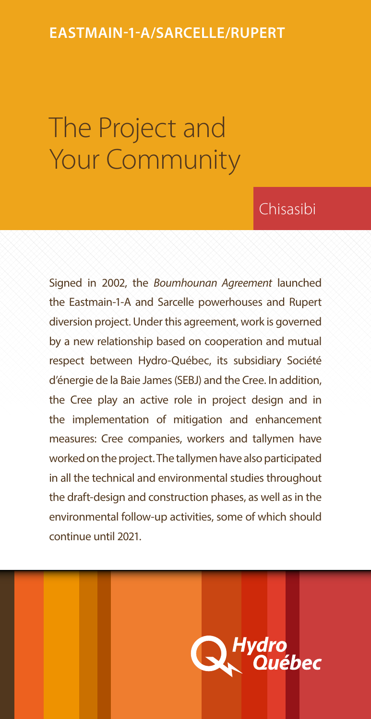### **Eastmain-1-A/Sarcelle/Rupert**

# The Project and Your Community

### Chisasibi

Signed in 2002, the *Boumhounan Agreement* launched the Eastmain-1-A and Sarcelle powerhouses and Rupert diversion project. Under this agreement, work is governed by a new relationship based on cooperation and mutual respect between Hydro-Québec, its subsidiary Société d'énergie de la Baie James (SEBJ) and the Cree. In addition, the Cree play an active role in project design and in the implementation of mitigation and enhancement measures: Cree companies, workers and tallymen have worked on the project. The tallymen have also participated in all the technical and environmental studies throughout the draft-design and construction phases, as well as in the environmental follow-up activities, some of which should continue until 2021.

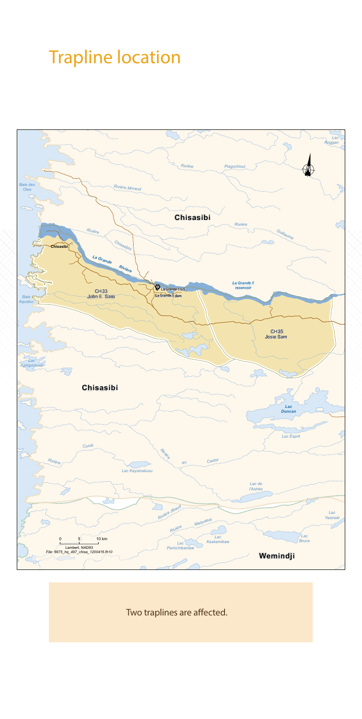# Trapline location



Two traplines are affected.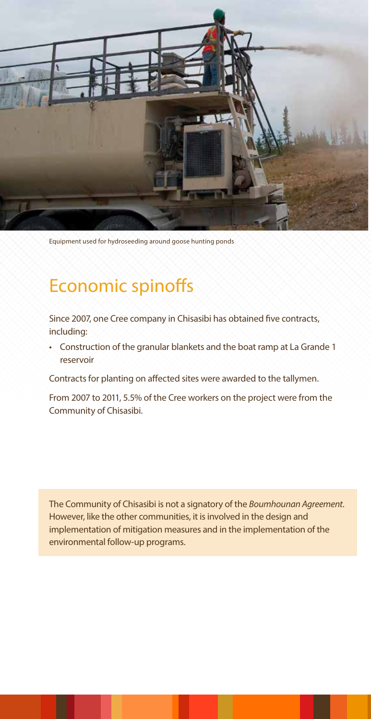

Equipment used for hydroseeding around goose hunting ponds

### Economic spinoffs

Since 2007, one Cree company in Chisasibi has obtained five contracts, including:

• Construction of the granular blankets and the boat ramp at La Grande 1 reservoir

Contracts for planting on affected sites were awarded to the tallymen.

From 2007 to 2011, 5.5% of the Cree workers on the project were from the Community of Chisasibi.

The Community of Chisasibi is not a signatory of the *Boumhounan Agreement*. However, like the other communities, it is involved in the design and implementation of mitigation measures and in the implementation of the environmental follow-up programs.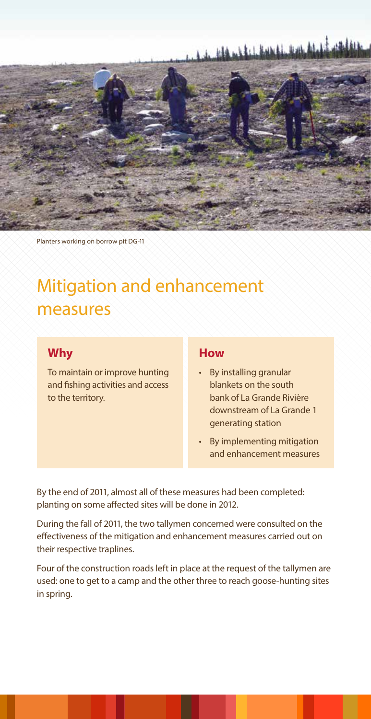# <u>, a de dia esta essei, con al di estil</u>



Planters working on borrow pit DG-11

## Mitigation and enhancement measures

#### **Why**

To maintain or improve hunting and fishing activities and access to the territory.

#### **How**

- • By installing granular blankets on the south bank of La Grande Rivière downstream of La Grande 1 generating station
- • By implementing mitigation and enhancement measures

By the end of 2011, almost all of these measures had been completed: planting on some affected sites will be done in 2012.

During the fall of 2011, the two tallymen concerned were consulted on the effectiveness of the mitigation and enhancement measures carried out on their respective traplines.

Four of the construction roads left in place at the request of the tallymen are used: one to get to a camp and the other three to reach goose-hunting sites in spring.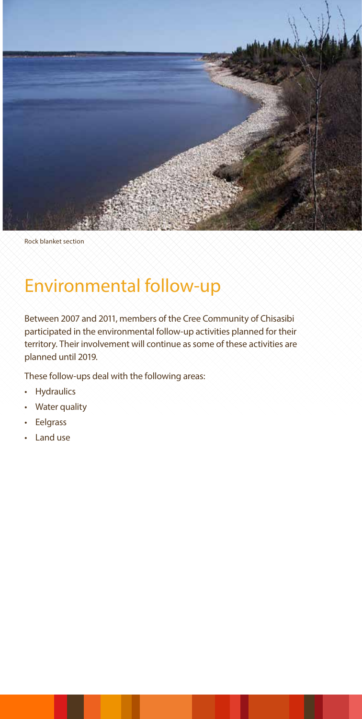

Rock blanket section

## Environmental follow-up

Between 2007 and 2011, members of the Cree Community of Chisasibi participated in the environmental follow-up activities planned for their territory. Their involvement will continue as some of these activities are planned until 2019.

These follow-ups deal with the following areas:

- Hydraulics
- **Water quality**
- • Eelgrass
- • Land use